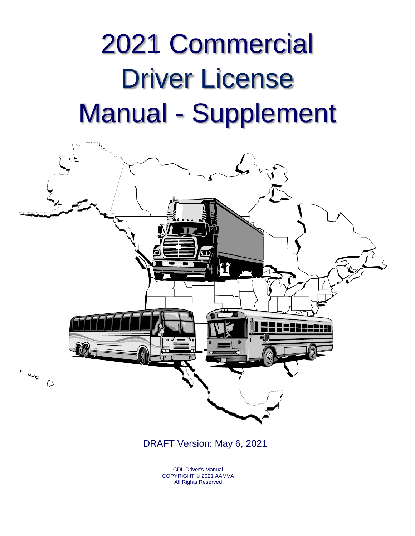# 2021 Commercial Driver License Manual - Supplement



DRAFT Version: May 6, 2021

CDL Driver's Manual COPYRIGHT © 2021 AAMVA All Rights Reserved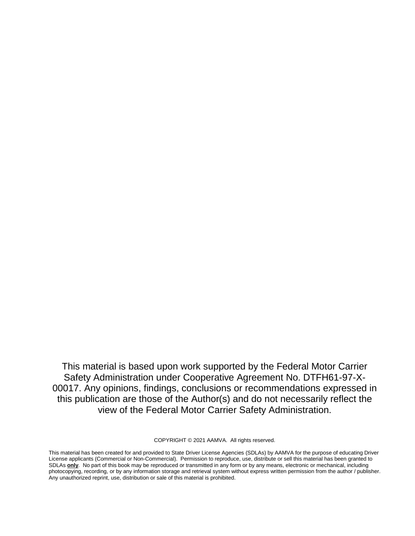This material is based upon work supported by the Federal Motor Carrier Safety Administration under Cooperative Agreement No. DTFH61-97-X-00017. Any opinions, findings, conclusions or recommendations expressed in this publication are those of the Author(s) and do not necessarily reflect the view of the Federal Motor Carrier Safety Administration.

COPYRIGHT © 2021 AAMVA. All rights reserved.

This material has been created for and provided to State Driver License Agencies (SDLAs) by AAMVA for the purpose of educating Driver License applicants (Commercial or Non-Commercial). Permission to reproduce, use, distribute or sell this material has been granted to SDLAs **only**. No part of this book may be reproduced or transmitted in any form or by any means, electronic or mechanical, including photocopying, recording, or by any information storage and retrieval system without express written permission from the author / publisher. Any unauthorized reprint, use, distribution or sale of this material is prohibited.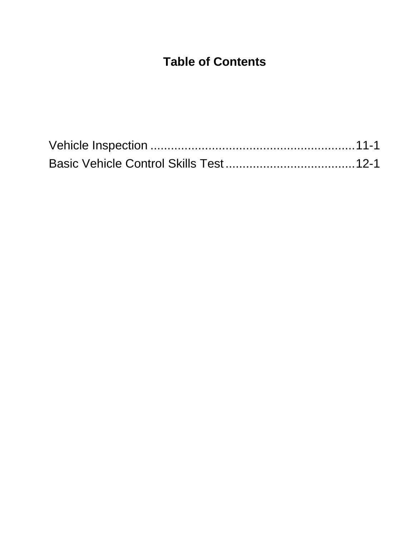# **Table of Contents**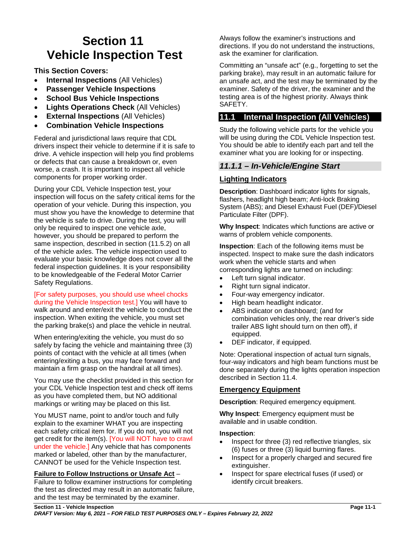# <span id="page-3-0"></span>**Section 11 Vehicle Inspection Test**

**This Section Covers:**

- **Internal Inspections** (All Vehicles)
- **Passenger Vehicle Inspections**
- **School Bus Vehicle Inspections**
- **Lights Operations Check** (All Vehicles)
- **External Inspections** (All Vehicles)
- **Combination Vehicle Inspections**

Federal and jurisdictional laws require that CDL drivers inspect their vehicle to determine if it is safe to drive. A vehicle inspection will help you find problems or defects that can cause a breakdown or, even worse, a crash. It is important to inspect all vehicle components for proper working order.

During your CDL Vehicle Inspection test, your inspection will focus on the safety critical items for the operation of your vehicle. During this inspection, you must show you have the knowledge to determine that the vehicle is safe to drive. During the test, you will only be required to inspect one vehicle axle, however, you should be prepared to perform the same inspection, described in section (11.5.2) on all of the vehicle axles. The vehicle inspection used to evaluate your basic knowledge does not cover all the federal inspection guidelines. It is your responsibility to be knowledgeable of the Federal Motor Carrier Safety Regulations.

[For safety purposes, you should use wheel chocks during the Vehicle Inspection test.] You will have to walk around and enter/exit the vehicle to conduct the inspection. When exiting the vehicle, you must set the parking brake(s) and place the vehicle in neutral.

When entering/exiting the vehicle, you must do so safely by facing the vehicle and maintaining three (3) points of contact with the vehicle at all times (when entering/exiting a bus, you may face forward and maintain a firm grasp on the handrail at all times).

You may use the checklist provided in this section for your CDL Vehicle Inspection test and check off items as you have completed them, but NO additional markings or writing may be placed on this list.

You MUST name, point to and/or touch and fully explain to the examiner WHAT you are inspecting each safety critical item for. If you do not, you will not get credit for the item(s). [You will NOT have to crawl under the vehicle.] Any vehicle that has components marked or labeled, other than by the manufacturer, CANNOT be used for the Vehicle Inspection test.

#### **Failure to Follow Instructions or Unsafe Act** –

Failure to follow examiner instructions for completing the test as directed may result in an automatic failure, and the test may be terminated by the examiner.

Always follow the examiner's instructions and directions. If you do not understand the instructions, ask the examiner for clarification.

Committing an "unsafe act" (e.g., forgetting to set the parking brake), may result in an automatic failure for an unsafe act, and the test may be terminated by the examiner. Safety of the driver, the examiner and the testing area is of the highest priority. Always think SAFETY.

# **11.1 Internal Inspection (All Vehicles)**

Study the following vehicle parts for the vehicle you will be using during the CDL Vehicle Inspection test. You should be able to identify each part and tell the examiner what you are looking for or inspecting.

# *11.1.1 – In-Vehicle/Engine Start*

# **Lighting Indicators**

**Description**: Dashboard indicator lights for signals, flashers, headlight high beam; Anti-lock Braking System (ABS); and Diesel Exhaust Fuel (DEF)/Diesel Particulate Filter (DPF).

**Why Inspect**: Indicates which functions are active or warns of problem vehicle components.

**Inspection**: Each of the following items must be inspected. Inspect to make sure the dash indicators work when the vehicle starts and when corresponding lights are turned on including:

- Left turn signal indicator.
- Right turn signal indicator.
- Four-way emergency indicator.
- High beam headlight indicator.
- ABS indicator on dashboard; (and for combination vehicles only, the rear driver's side trailer ABS light should turn on then off), if equipped.
- DEF indicator, if equipped.

Note: Operational inspection of actual turn signals, four-way indicators and high beam functions must be done separately during the lights operation inspection described in Section 11.4.

# **Emergency Equipment**

**Description**: Required emergency equipment.

**Why Inspect**: Emergency equipment must be available and in usable condition.

#### **Inspection**:

- Inspect for three (3) red reflective triangles, six (6) fuses or three (3) liquid burning flares.
- Inspect for a properly charged and secured fire extinguisher.
- Inspect for spare electrical fuses (if used) or identify circuit breakers.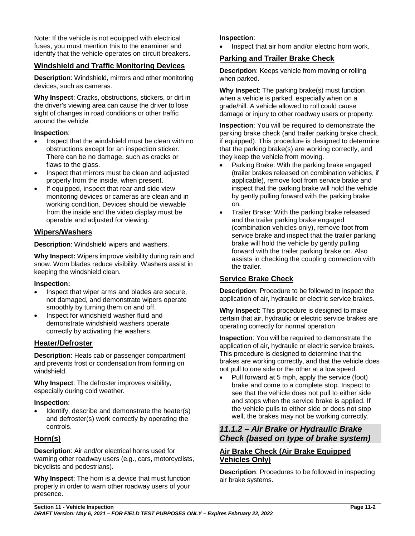Note: If the vehicle is not equipped with electrical fuses, you must mention this to the examiner and identify that the vehicle operates on circuit breakers.

# **Windshield and Traffic Monitoring Devices**

**Description**: Windshield, mirrors and other monitoring devices, such as cameras.

**Why Inspect**: Cracks, obstructions, stickers, or dirt in the driver's viewing area can cause the driver to lose sight of changes in road conditions or other traffic around the vehicle.

#### **Inspection**:

- Inspect that the windshield must be clean with no obstructions except for an inspection sticker. There can be no damage, such as cracks or flaws to the glass.
- Inspect that mirrors must be clean and adjusted properly from the inside, when present.
- If equipped, inspect that rear and side view monitoring devices or cameras are clean and in working condition. Devices should be viewable from the inside and the video display must be operable and adjusted for viewing.

#### **Wipers/Washers**

**Description**: Windshield wipers and washers.

**Why Inspect:** Wipers improve visibility during rain and snow. Worn blades reduce visibility. Washers assist in keeping the windshield clean.

#### **Inspection:**

- Inspect that wiper arms and blades are secure, not damaged, and demonstrate wipers operate smoothly by turning them on and off.
- Inspect for windshield washer fluid and demonstrate windshield washers operate correctly by activating the washers.

# **Heater/Defroster**

**Description**: Heats cab or passenger compartment and prevents frost or condensation from forming on windshield.

**Why Inspect**: The defroster improves visibility, especially during cold weather.

#### **Inspection**:

• Identify, describe and demonstrate the heater(s) and defroster(s) work correctly by operating the controls.

# **Horn(s)**

**Description**: Air and/or electrical horns used for warning other roadway users (e.g., cars, motorcyclists, bicyclists and pedestrians).

**Why Inspect**: The horn is a device that must function properly in order to warn other roadway users of your presence.

#### **Inspection**:

Inspect that air horn and/or electric horn work.

# **Parking and Trailer Brake Check**

**Description**: Keeps vehicle from moving or rolling when parked.

**Why Inspect**: The parking brake(s) must function when a vehicle is parked, especially when on a grade/hill. A vehicle allowed to roll could cause damage or injury to other roadway users or property.

**Inspection**: You will be required to demonstrate the parking brake check (and trailer parking brake check, if equipped). This procedure is designed to determine that the parking brake(s) are working correctly, and they keep the vehicle from moving.

- Parking Brake: With the parking brake engaged (trailer brakes released on combination vehicles, if applicable), remove foot from service brake and inspect that the parking brake will hold the vehicle by gently pulling forward with the parking brake on.
- Trailer Brake: With the parking brake released and the trailer parking brake engaged (combination vehicles only), remove foot from service brake and inspect that the trailer parking brake will hold the vehicle by gently pulling forward with the trailer parking brake on. Also assists in checking the coupling connection with the trailer.

# **Service Brake Check**

**Description**: Procedure to be followed to inspect the application of air, hydraulic or electric service brakes.

**Why Inspect**: This procedure is designed to make certain that air, hydraulic or electric service brakes are operating correctly for normal operation.

**Inspection**: You will be required to demonstrate the application of air, hydraulic or electric service brakes**.**  This procedure is designed to determine that the brakes are working correctly, and that the vehicle does not pull to one side or the other at a low speed.

• Pull forward at 5 mph, apply the service (foot) brake and come to a complete stop. Inspect to see that the vehicle does not pull to either side and stops when the service brake is applied. If the vehicle pulls to either side or does not stop well, the brakes may not be working correctly.

# *11.1.2 – Air Brake or Hydraulic Brake Check (based on type of brake system)*

#### **Air Brake Check (Air Brake Equipped Vehicles Only)**

**Description**: Procedures to be followed in inspecting air brake systems.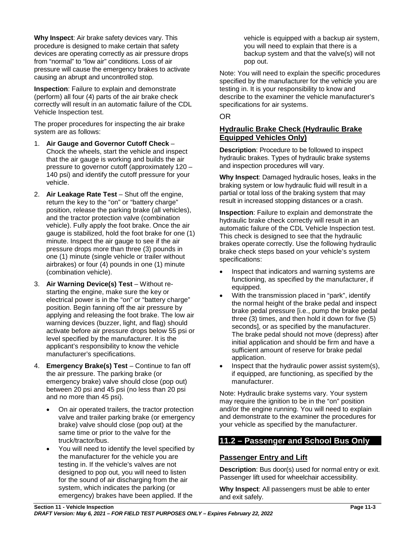**Why Inspect**: Air brake safety devices vary. This procedure is designed to make certain that safety devices are operating correctly as air pressure drops from "normal" to "low air" conditions. Loss of air pressure will cause the emergency brakes to activate causing an abrupt and uncontrolled stop.

**Inspection**: Failure to explain and demonstrate (perform) all four (4) parts of the air brake check correctly will result in an automatic failure of the CDL Vehicle Inspection test.

The proper procedures for inspecting the air brake system are as follows:

- 1. **Air Gauge and Governor Cutoff Check** Chock the wheels, start the vehicle and inspect that the air gauge is working and builds the air pressure to governor cutoff (approximately 120 – 140 psi) and identify the cutoff pressure for your vehicle.
- 2. **Air Leakage Rate Test** Shut off the engine, return the key to the "on" or "battery charge" position, release the parking brake (all vehicles), and the tractor protection valve (combination vehicle). Fully apply the foot brake. Once the air gauge is stabilized, hold the foot brake for one (1) minute. Inspect the air gauge to see if the air pressure drops more than three (3) pounds in one (1) minute (single vehicle or trailer without airbrakes) or four (4) pounds in one (1) minute (combination vehicle).
- 3. **Air Warning Device(s) Test** Without restarting the engine, make sure the key or electrical power is in the "on" or "battery charge" position. Begin fanning off the air pressure by applying and releasing the foot brake. The low air warning devices (buzzer, light, and flag) should activate before air pressure drops below 55 psi or level specified by the manufacturer. It is the applicant's responsibility to know the vehicle manufacturer's specifications.
- 4. **Emergency Brake(s) Test** Continue to fan off the air pressure. The parking brake (or emergency brake) valve should close (pop out) between 20 psi and 45 psi (no less than 20 psi and no more than 45 psi).
	- On air operated trailers, the tractor protection valve and trailer parking brake (or emergency brake) valve should close (pop out) at the same time or prior to the valve for the truck/tractor/bus.
	- You will need to identify the level specified by the manufacturer for the vehicle you are testing in. If the vehicle's valves are not designed to pop out, you will need to listen for the sound of air discharging from the air system, which indicates the parking (or emergency) brakes have been applied. If the

vehicle is equipped with a backup air system, you will need to explain that there is a backup system and that the valve(s) will not pop out.

Note: You will need to explain the specific procedures specified by the manufacturer for the vehicle you are testing in. It is your responsibility to know and describe to the examiner the vehicle manufacturer's specifications for air systems.

#### OR

#### **Hydraulic Brake Check (Hydraulic Brake Equipped Vehicles Only)**

**Description**: Procedure to be followed to inspect hydraulic brakes. Types of hydraulic brake systems and inspection procedures will vary.

**Why Inspect**: Damaged hydraulic hoses, leaks in the braking system or low hydraulic fluid will result in a partial or total loss of the braking system that may result in increased stopping distances or a crash.

**Inspection**: Failure to explain and demonstrate the hydraulic brake check correctly will result in an automatic failure of the CDL Vehicle Inspection test. This check is designed to see that the hydraulic brakes operate correctly. Use the following hydraulic brake check steps based on your vehicle's system specifications:

- Inspect that indicators and warning systems are functioning, as specified by the manufacturer, if equipped.
- With the transmission placed in "park", identify the normal height of the brake pedal and inspect brake pedal pressure [i.e., pump the brake pedal three (3) times, and then hold it down for five (5) seconds], or as specified by the manufacturer. The brake pedal should not move (depress) after initial application and should be firm and have a sufficient amount of reserve for brake pedal application.
- Inspect that the hydraulic power assist system(s), if equipped, are functioning, as specified by the manufacturer.

Note: Hydraulic brake systems vary. Your system may require the ignition to be in the "on" position and/or the engine running. You will need to explain and demonstrate to the examiner the procedures for your vehicle as specified by the manufacturer.

# **11.2 – Passenger and School Bus Only**

# **Passenger Entry and Lift**

**Description**: Bus door(s) used for normal entry or exit. Passenger lift used for wheelchair accessibility.

**Why Inspect**: All passengers must be able to enter and exit safely.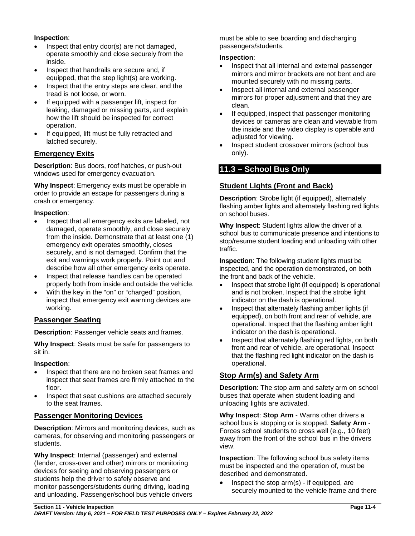#### **Inspection**:

- Inspect that entry door(s) are not damaged, operate smoothly and close securely from the inside.
- Inspect that handrails are secure and, if equipped, that the step light(s) are working.
- Inspect that the entry steps are clear, and the tread is not loose, or worn.
- If equipped with a passenger lift, inspect for leaking, damaged or missing parts, and explain how the lift should be inspected for correct operation.
- If equipped, lift must be fully retracted and latched securely.

# **Emergency Exits**

**Description**: Bus doors, roof hatches, or push-out windows used for emergency evacuation.

**Why Inspect**: Emergency exits must be operable in order to provide an escape for passengers during a crash or emergency.

#### **Inspection**:

- Inspect that all emergency exits are labeled, not damaged, operate smoothly, and close securely from the inside. Demonstrate that at least one (1) emergency exit operates smoothly, closes securely, and is not damaged. Confirm that the exit and warnings work properly. Point out and describe how all other emergency exits operate.
- Inspect that release handles can be operated properly both from inside and outside the vehicle.
- With the key in the "on" or "charged" position, inspect that emergency exit warning devices are working.

# **Passenger Seating**

**Description**: Passenger vehicle seats and frames.

**Why Inspect**: Seats must be safe for passengers to sit in.

#### **Inspection**:

- Inspect that there are no broken seat frames and inspect that seat frames are firmly attached to the floor.
- Inspect that seat cushions are attached securely to the seat frames.

# **Passenger Monitoring Devices**

**Description**: Mirrors and monitoring devices, such as cameras, for observing and monitoring passengers or students.

**Why Inspect**: Internal (passenger) and external (fender, cross-over and other) mirrors or monitoring devices for seeing and observing passengers or students help the driver to safely observe and monitor passengers/students during driving, loading and unloading. Passenger/school bus vehicle drivers must be able to see boarding and discharging passengers/students.

#### **Inspection**:

- Inspect that all internal and external passenger mirrors and mirror brackets are not bent and are mounted securely with no missing parts.
- Inspect all internal and external passenger mirrors for proper adjustment and that they are clean.
- If equipped, inspect that passenger monitoring devices or cameras are clean and viewable from the inside and the video display is operable and adjusted for viewing.
- Inspect student crossover mirrors (school bus only).

#### **11.3 – School Bus Only**

# **Student Lights (Front and Back)**

**Description**: Strobe light (if equipped), alternately flashing amber lights and alternately flashing red lights on school buses.

**Why Inspect**: Student lights allow the driver of a school bus to communicate presence and intentions to stop/resume student loading and unloading with other traffic.

**Inspection**: The following student lights must be inspected, and the operation demonstrated, on both the front and back of the vehicle.

- Inspect that strobe light (if equipped) is operational and is not broken. Inspect that the strobe light indicator on the dash is operational.
- Inspect that alternately flashing amber lights (if equipped), on both front and rear of vehicle, are operational. Inspect that the flashing amber light indicator on the dash is operational.
- Inspect that alternately flashing red lights, on both front and rear of vehicle, are operational. Inspect that the flashing red light indicator on the dash is operational.

# **Stop Arm(s) and Safety Arm**

**Description**: The stop arm and safety arm on school buses that operate when student loading and unloading lights are activated.

**Why Inspect**: **Stop Arm** - Warns other drivers a school bus is stopping or is stopped. **Safety Arm** - Forces school students to cross well (e.g., 10 feet) away from the front of the school bus in the drivers view.

**Inspection**: The following school bus safety items must be inspected and the operation of, must be described and demonstrated.

• Inspect the stop arm(s) - if equipped, are securely mounted to the vehicle frame and there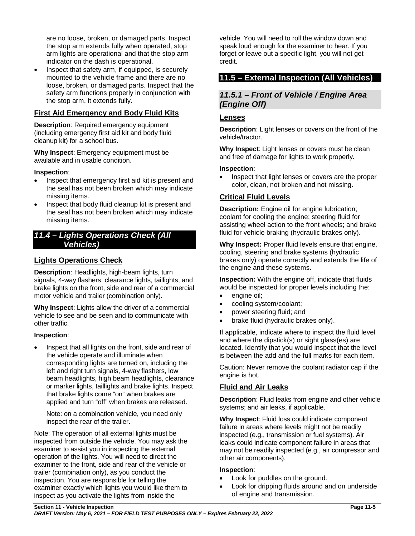are no loose, broken, or damaged parts. Inspect the stop arm extends fully when operated, stop arm lights are operational and that the stop arm indicator on the dash is operational.

Inspect that safety arm, if equipped, is securely mounted to the vehicle frame and there are no loose, broken, or damaged parts. Inspect that the safety arm functions properly in conjunction with the stop arm, it extends fully.

# **First Aid Emergency and Body Fluid Kits**

**Description**: Required emergency equipment (including emergency first aid kit and body fluid cleanup kit) for a school bus.

**Why Inspect**: Emergency equipment must be available and in usable condition.

#### **Inspection**:

- Inspect that emergency first aid kit is present and the seal has not been broken which may indicate missing items.
- Inspect that body fluid cleanup kit is present and the seal has not been broken which may indicate missing items.

# *11.4 – Lights Operations Check (All Vehicles)*

# **Lights Operations Check**

**Description**: Headlights, high-beam lights, turn signals, 4-way flashers, clearance lights, taillights, and brake lights on the front, side and rear of a commercial motor vehicle and trailer (combination only).

**Why Inspect**: Lights allow the driver of a commercial vehicle to see and be seen and to communicate with other traffic.

#### **Inspection**:

Inspect that all lights on the front, side and rear of the vehicle operate and illuminate when corresponding lights are turned on, including the left and right turn signals, 4-way flashers, low beam headlights, high beam headlights, clearance or marker lights, taillights and brake lights. Inspect that brake lights come "on" when brakes are applied and turn "off" when brakes are released.

Note: on a combination vehicle, you need only inspect the rear of the trailer.

Note: The operation of all external lights must be inspected from outside the vehicle. You may ask the examiner to assist you in inspecting the external operation of the lights. You will need to direct the examiner to the front, side and rear of the vehicle or trailer (combination only), as you conduct the inspection. You are responsible for telling the examiner exactly which lights you would like them to inspect as you activate the lights from inside the

vehicle. You will need to roll the window down and speak loud enough for the examiner to hear. If you forget or leave out a specific light, you will not get credit.

# **11.5 – External Inspection (All Vehicles)**

# *11.5.1 – Front of Vehicle / Engine Area (Engine Off)*

#### **Lenses**

**Description**: Light lenses or covers on the front of the vehicle/tractor.

**Why Inspect**: Light lenses or covers must be clean and free of damage for lights to work properly.

#### **Inspection**:

• Inspect that light lenses or covers are the proper color, clean, not broken and not missing.

# **Critical Fluid Levels**

**Description:** Engine oil for engine lubrication; coolant for cooling the engine; steering fluid for assisting wheel action to the front wheels; and brake fluid for vehicle braking (hydraulic brakes only).

**Why Inspect:** Proper fluid levels ensure that engine, cooling, steering and brake systems (hydraulic brakes only) operate correctly and extends the life of the engine and these systems.

**Inspection:** With the engine off, indicate that fluids would be inspected for proper levels including the:

- engine oil:
- cooling system/coolant;
- power steering fluid; and
- brake fluid (hydraulic brakes only).

If applicable, indicate where to inspect the fluid level and where the dipstick(s) or sight glass(es) are located. Identify that you would inspect that the level is between the add and the full marks for each item.

Caution: Never remove the coolant radiator cap if the engine is hot.

# **Fluid and Air Leaks**

**Description**: Fluid leaks from engine and other vehicle systems; and air leaks, if applicable.

**Why Inspect**: Fluid loss could indicate component failure in areas where levels might not be readily inspected (e.g., transmission or fuel systems). Air leaks could indicate component failure in areas that may not be readily inspected (e.g., air compressor and other air components).

#### **Inspection**:

- Look for puddles on the ground.
- Look for dripping fluids around and on underside of engine and transmission.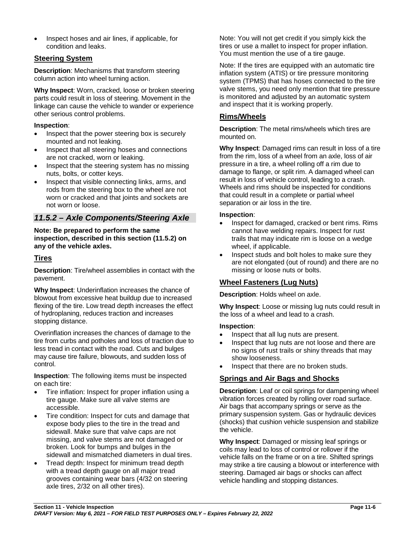• Inspect hoses and air lines, if applicable, for condition and leaks.

# **Steering System**

**Description**: Mechanisms that transform steering column action into wheel turning action.

**Why Inspect**: Worn, cracked, loose or broken steering parts could result in loss of steering. Movement in the linkage can cause the vehicle to wander or experience other serious control problems.

#### **Inspection**:

- Inspect that the power steering box is securely mounted and not leaking.
- Inspect that all steering hoses and connections are not cracked, worn or leaking.
- Inspect that the steering system has no missing nuts, bolts, or cotter keys.
- Inspect that visible connecting links, arms, and rods from the steering box to the wheel are not worn or cracked and that joints and sockets are not worn or loose.

# *11.5.2 – Axle Components/Steering Axle*

#### **Note: Be prepared to perform the same inspection, described in this section (11.5.2) on any of the vehicle axles.**

# **Tires**

**Description**: Tire/wheel assemblies in contact with the pavement.

**Why Inspect**: Underinflation increases the chance of blowout from excessive heat buildup due to increased flexing of the tire. Low tread depth increases the effect of hydroplaning, reduces traction and increases stopping distance.

Overinflation increases the chances of damage to the tire from curbs and potholes and loss of traction due to less tread in contact with the road. Cuts and bulges may cause tire failure, blowouts, and sudden loss of control.

**Inspection**: The following items must be inspected on each tire:

- Tire inflation: Inspect for proper inflation using a tire gauge. Make sure all valve stems are accessible.
- Tire condition: Inspect for cuts and damage that expose body plies to the tire in the tread and sidewall. Make sure that valve caps are not missing, and valve stems are not damaged or broken. Look for bumps and bulges in the sidewall and mismatched diameters in dual tires.
- Tread depth: Inspect for minimum tread depth with a tread depth gauge on all major tread grooves containing wear bars (4/32 on steering axle tires, 2/32 on all other tires).

Note: You will not get credit if you simply kick the tires or use a mallet to inspect for proper inflation. You must mention the use of a tire gauge.

Note: If the tires are equipped with an automatic tire inflation system (ATIS) or tire pressure monitoring system (TPMS) that has hoses connected to the tire valve stems, you need only mention that tire pressure is monitored and adjusted by an automatic system and inspect that it is working properly.

# **Rims/Wheels**

**Description**: The metal rims/wheels which tires are mounted on.

**Why Inspect**: Damaged rims can result in loss of a tire from the rim, loss of a wheel from an axle, loss of air pressure in a tire, a wheel rolling off a rim due to damage to flange, or split rim. A damaged wheel can result in loss of vehicle control, leading to a crash. Wheels and rims should be inspected for conditions that could result in a complete or partial wheel separation or air loss in the tire.

#### **Inspection**:

- Inspect for damaged, cracked or bent rims. Rims cannot have welding repairs. Inspect for rust trails that may indicate rim is loose on a wedge wheel, if applicable.
- Inspect studs and bolt holes to make sure they are not elongated (out of round) and there are no missing or loose nuts or bolts.

# **Wheel Fasteners (Lug Nuts)**

**Description**: Holds wheel on axle.

**Why Inspect**: Loose or missing lug nuts could result in the loss of a wheel and lead to a crash.

#### **Inspection**:

- Inspect that all lug nuts are present.
- Inspect that lug nuts are not loose and there are no signs of rust trails or shiny threads that may show looseness.
- Inspect that there are no broken studs.

# **Springs and Air Bags and Shocks**

**Description**: Leaf or coil springs for dampening wheel vibration forces created by rolling over road surface. Air bags that accompany springs or serve as the primary suspension system. Gas or hydraulic devices (shocks) that cushion vehicle suspension and stabilize the vehicle.

**Why Inspect**: Damaged or missing leaf springs or coils may lead to loss of control or rollover if the vehicle falls on the frame or on a tire. Shifted springs may strike a tire causing a blowout or interference with steering. Damaged air bags or shocks can affect vehicle handling and stopping distances.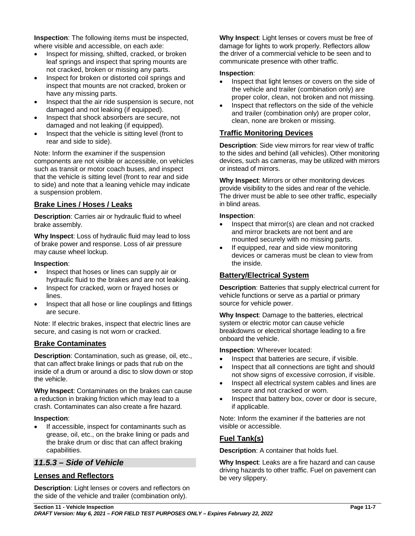**Inspection**: The following items must be inspected, where visible and accessible, on each axle:

- Inspect for missing, shifted, cracked, or broken leaf springs and inspect that spring mounts are not cracked, broken or missing any parts.
- Inspect for broken or distorted coil springs and inspect that mounts are not cracked, broken or have any missing parts.
- Inspect that the air ride suspension is secure, not damaged and not leaking (if equipped).
- Inspect that shock absorbers are secure, not damaged and not leaking (if equipped).
- Inspect that the vehicle is sitting level (front to rear and side to side).

Note: Inform the examiner if the suspension components are not visible or accessible, on vehicles such as transit or motor coach buses, and inspect that the vehicle is sitting level (front to rear and side to side) and note that a leaning vehicle may indicate a suspension problem.

# **Brake Lines / Hoses / Leaks**

**Description**: Carries air or hydraulic fluid to wheel brake assembly.

**Why Inspect**: Loss of hydraulic fluid may lead to loss of brake power and response. Loss of air pressure may cause wheel lockup.

#### **Inspection**:

- Inspect that hoses or lines can supply air or hydraulic fluid to the brakes and are not leaking.
- Inspect for cracked, worn or frayed hoses or lines.
- Inspect that all hose or line couplings and fittings are secure.

Note: If electric brakes, inspect that electric lines are secure, and casing is not worn or cracked.

# **Brake Contaminates**

**Description**: Contamination, such as grease, oil, etc., that can affect brake linings or pads that rub on the inside of a drum or around a disc to slow down or stop the vehicle.

**Why Inspect**: Contaminates on the brakes can cause a reduction in braking friction which may lead to a crash. Contaminates can also create a fire hazard.

#### **Inspection**:

If accessible, inspect for contaminants such as grease, oil, etc., on the brake lining or pads and the brake drum or disc that can affect braking capabilities.

# *11.5.3 – Side of Vehicle*

# **Lenses and Reflectors**

**Description**: Light lenses or covers and reflectors on the side of the vehicle and trailer (combination only).

**Why Inspect**: Light lenses or covers must be free of damage for lights to work properly. Reflectors allow the driver of a commercial vehicle to be seen and to communicate presence with other traffic.

#### **Inspection**:

- Inspect that light lenses or covers on the side of the vehicle and trailer (combination only) are proper color, clean, not broken and not missing.
- Inspect that reflectors on the side of the vehicle and trailer (combination only) are proper color, clean, none are broken or missing.

#### **Traffic Monitoring Devices**

**Description**: Side view mirrors for rear view of traffic to the sides and behind (all vehicles). Other monitoring devices, such as cameras, may be utilized with mirrors or instead of mirrors.

**Why Inspect**: Mirrors or other monitoring devices provide visibility to the sides and rear of the vehicle. The driver must be able to see other traffic, especially in blind areas.

#### **Inspection**:

- Inspect that mirror(s) are clean and not cracked and mirror brackets are not bent and are mounted securely with no missing parts.
- If equipped, rear and side view monitoring devices or cameras must be clean to view from the inside.

# **Battery/Electrical System**

**Description**: Batteries that supply electrical current for vehicle functions or serve as a partial or primary source for vehicle power.

**Why Inspect**: Damage to the batteries, electrical system or electric motor can cause vehicle breakdowns or electrical shortage leading to a fire onboard the vehicle.

**Inspection**: Wherever located:

- Inspect that batteries are secure, if visible.
- Inspect that all connections are tight and should not show signs of excessive corrosion, if visible.
- Inspect all electrical system cables and lines are secure and not cracked or worn.
- Inspect that battery box, cover or door is secure, if applicable.

Note: Inform the examiner if the batteries are not visible or accessible.

# **Fuel Tank(s)**

**Description**: A container that holds fuel.

**Why Inspect**: Leaks are a fire hazard and can cause driving hazards to other traffic. Fuel on pavement can be very slippery.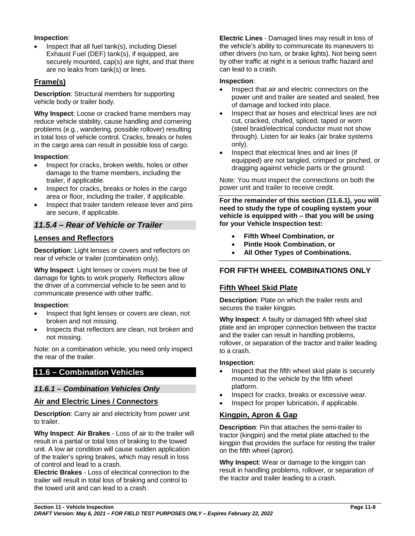#### **Inspection**:

• Inspect that all fuel tank(s), including Diesel Exhaust Fuel (DEF) tank(s), if equipped, are securely mounted, cap(s) are tight, and that there are no leaks from tank(s) or lines.

# **Frame(s)**

**Description**: Structural members for supporting vehicle body or trailer body.

**Why Inspect**: Loose or cracked frame members may reduce vehicle stability, cause handling and cornering problems (e.g., wandering, possible rollover) resulting in total loss of vehicle control. Cracks, breaks or holes in the cargo area can result in possible loss of cargo.

#### **Inspection**:

- Inspect for cracks, broken welds, holes or other damage to the frame members, including the trailer, if applicable.
- Inspect for cracks, breaks or holes in the cargo area or floor, including the trailer, if applicable.
- Inspect that trailer tandem release lever and pins are secure, if applicable.

# *11.5.4 – Rear of Vehicle or Trailer*

# **Lenses and Reflectors**

**Description:** Light lenses or covers and reflectors on rear of vehicle or trailer (combination only).

**Why Inspect**: Light lenses or covers must be free of damage for lights to work properly. Reflectors allow the driver of a commercial vehicle to be seen and to communicate presence with other traffic.

#### **Inspection**:

- Inspect that light lenses or covers are clean, not broken and not missing.
- Inspects that reflectors are clean, not broken and not missing.

Note: on a combination vehicle, you need only inspect the rear of the trailer.

# **11.6 – Combination Vehicles**

# *11.6.1 – Combination Vehicles Only*

#### **Air and Electric Lines / Connectors**

**Description**: Carry air and electricity from power unit to trailer.

**Why Inspect**: **Air Brakes** - Loss of air to the trailer will result in a partial or total loss of braking to the towed unit. A low air condition will cause sudden application of the trailer's spring brakes, which may result in loss of control and lead to a crash.

**Electric Brakes** - Loss of electrical connection to the trailer will result in total loss of braking and control to the towed unit and can lead to a crash.

**Electric Lines** - Damaged lines may result in loss of the vehicle's ability to communicate its maneuvers to other drivers (no turn, or brake lights). Not being seen by other traffic at night is a serious traffic hazard and can lead to a crash.

#### **Inspection**:

- Inspect that air and electric connectors on the power unit and trailer are seated and sealed, free of damage and locked into place.
- Inspect that air hoses and electrical lines are not cut, cracked, chafed, spliced, taped or worn (steel braid/electrical conductor must not show through). Listen for air leaks (air brake systems only).
- Inspect that electrical lines and air lines (if equipped) are not tangled, crimped or pinched, or dragging against vehicle parts or the ground.

Note: You must inspect the connections on both the power unit and trailer to receive credit.

**For the remainder of this section (11.6.1), you will need to study the type of coupling system your vehicle is equipped with – that you will be using for your Vehicle Inspection test:** 

- **Fifth Wheel Combination, or**
- **Pintle Hook Combination, or**
- **All Other Types of Combinations.**

# **FOR FIFTH WHEEL COMBINATIONS ONLY**

# **Fifth Wheel Skid Plate**

**Description**: Plate on which the trailer rests and secures the trailer kingpin.

**Why Inspect**: A faulty or damaged fifth wheel skid plate and an improper connection between the tractor and the trailer can result in handling problems, rollover, or separation of the tractor and trailer leading to a crash.

#### **Inspection**:

- Inspect that the fifth wheel skid plate is securely mounted to the vehicle by the fifth wheel platform.
- Inspect for cracks, breaks or excessive wear.
- Inspect for proper lubrication, if applicable.

#### **Kingpin, Apron & Gap**

**Description**: Pin that attaches the semi-trailer to tractor (kingpin) and the metal plate attached to the kingpin that provides the surface for resting the trailer on the fifth wheel (apron).

**Why Inspect**: Wear or damage to the kingpin can result in handling problems, rollover, or separation of the tractor and trailer leading to a crash.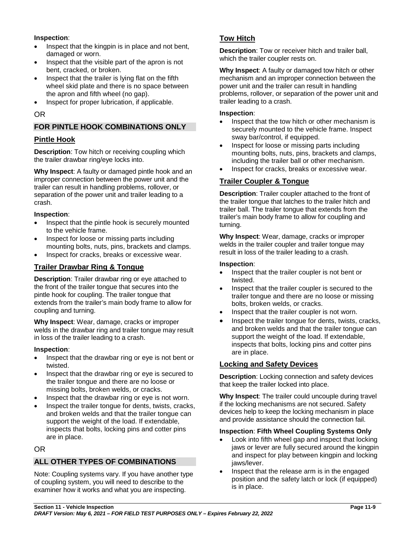#### **Inspection**:

- Inspect that the kingpin is in place and not bent, damaged or worn.
- Inspect that the visible part of the apron is not bent, cracked, or broken.
- Inspect that the trailer is lying flat on the fifth wheel skid plate and there is no space between the apron and fifth wheel (no gap).
- Inspect for proper lubrication, if applicable.

#### OR

# **FOR PINTLE HOOK COMBINATIONS ONLY**

#### **Pintle Hook**

**Description**: Tow hitch or receiving coupling which the trailer drawbar ring/eye locks into.

**Why Inspect**: A faulty or damaged pintle hook and an improper connection between the power unit and the trailer can result in handling problems, rollover, or separation of the power unit and trailer leading to a crash.

#### **Inspection**:

- Inspect that the pintle hook is securely mounted to the vehicle frame.
- Inspect for loose or missing parts including mounting bolts, nuts, pins, brackets and clamps.
- Inspect for cracks, breaks or excessive wear.

#### **Trailer Drawbar Ring & Tongue**

**Description**: Trailer drawbar ring or eye attached to the front of the trailer tongue that secures into the pintle hook for coupling. The trailer tongue that extends from the trailer's main body frame to allow for coupling and turning.

**Why Inspect**: Wear, damage, cracks or improper welds in the drawbar ring and trailer tongue may result in loss of the trailer leading to a crash.

#### **Inspection**:

- Inspect that the drawbar ring or eye is not bent or twisted.
- Inspect that the drawbar ring or eye is secured to the trailer tongue and there are no loose or missing bolts, broken welds, or cracks.
- Inspect that the drawbar ring or eye is not worn.
- Inspect the trailer tongue for dents, twists, cracks, and broken welds and that the trailer tongue can support the weight of the load. If extendable, inspects that bolts, locking pins and cotter pins are in place.

#### OR

# **ALL OTHER TYPES OF COMBINATIONS**

Note: Coupling systems vary. If you have another type of coupling system, you will need to describe to the examiner how it works and what you are inspecting.

# **Tow Hitch**

**Description**: Tow or receiver hitch and trailer ball, which the trailer coupler rests on.

**Why Inspect**: A faulty or damaged tow hitch or other mechanism and an improper connection between the power unit and the trailer can result in handling problems, rollover, or separation of the power unit and trailer leading to a crash.

#### **Inspection**:

- Inspect that the tow hitch or other mechanism is securely mounted to the vehicle frame. Inspect sway bar/control, if equipped.
- Inspect for loose or missing parts including mounting bolts, nuts, pins, brackets and clamps, including the trailer ball or other mechanism.
- Inspect for cracks, breaks or excessive wear.

# **Trailer Coupler & Tongue**

**Description**: Trailer coupler attached to the front of the trailer tongue that latches to the trailer hitch and trailer ball. The trailer tongue that extends from the trailer's main body frame to allow for coupling and turning.

**Why Inspect**: Wear, damage, cracks or improper welds in the trailer coupler and trailer tongue may result in loss of the trailer leading to a crash.

#### **Inspection**:

- Inspect that the trailer coupler is not bent or twisted.
- Inspect that the trailer coupler is secured to the trailer tongue and there are no loose or missing bolts, broken welds, or cracks.
- Inspect that the trailer coupler is not worn.
- Inspect the trailer tongue for dents, twists, cracks, and broken welds and that the trailer tongue can support the weight of the load. If extendable, inspects that bolts, locking pins and cotter pins are in place.

# **Locking and Safety Devices**

**Description**: Locking connection and safety devices that keep the trailer locked into place.

**Why Inspect**: The trailer could uncouple during travel if the locking mechanisms are not secured. Safety devices help to keep the locking mechanism in place and provide assistance should the connection fail.

#### **Inspection**: **Fifth Wheel Coupling Systems Only**

- Look into fifth wheel gap and inspect that locking jaws or lever are fully secured around the kingpin and inspect for play between kingpin and locking jaws/lever.
- Inspect that the release arm is in the engaged position and the safety latch or lock (if equipped) is in place.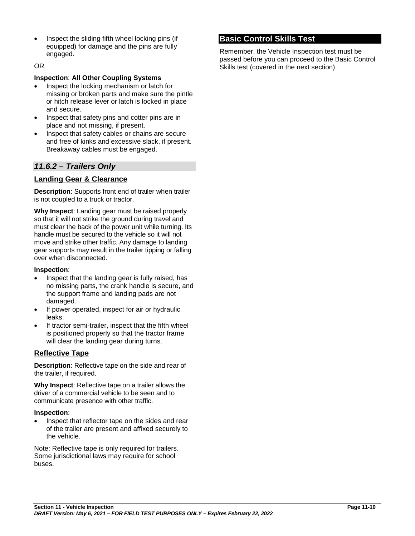Inspect the sliding fifth wheel locking pins (if equipped) for damage and the pins are fully engaged.

#### OR

#### **Inspection**: **All Other Coupling Systems**

- Inspect the locking mechanism or latch for missing or broken parts and make sure the pintle or hitch release lever or latch is locked in place and secure.
- Inspect that safety pins and cotter pins are in place and not missing, if present.
- Inspect that safety cables or chains are secure and free of kinks and excessive slack, if present. Breakaway cables must be engaged.

# *11.6.2 – Trailers Only*

# **Landing Gear & Clearance**

**Description**: Supports front end of trailer when trailer is not coupled to a truck or tractor.

**Why Inspect**: Landing gear must be raised properly so that it will not strike the ground during travel and must clear the back of the power unit while turning. Its handle must be secured to the vehicle so it will not move and strike other traffic. Any damage to landing gear supports may result in the trailer tipping or falling over when disconnected.

#### **Inspection**:

- Inspect that the landing gear is fully raised, has no missing parts, the crank handle is secure, and the support frame and landing pads are not damaged.
- If power operated, inspect for air or hydraulic leaks.
- If tractor semi-trailer, inspect that the fifth wheel is positioned properly so that the tractor frame will clear the landing gear during turns.

# **Reflective Tape**

**Description**: Reflective tape on the side and rear of the trailer, if required.

**Why Inspect**: Reflective tape on a trailer allows the driver of a commercial vehicle to be seen and to communicate presence with other traffic.

#### **Inspection**:

• Inspect that reflector tape on the sides and rear of the trailer are present and affixed securely to the vehicle.

Note: Reflective tape is only required for trailers. Some jurisdictional laws may require for school buses.

# **Basic Control Skills Test**

Remember, the Vehicle Inspection test must be passed before you can proceed to the Basic Control Skills test (covered in the next section).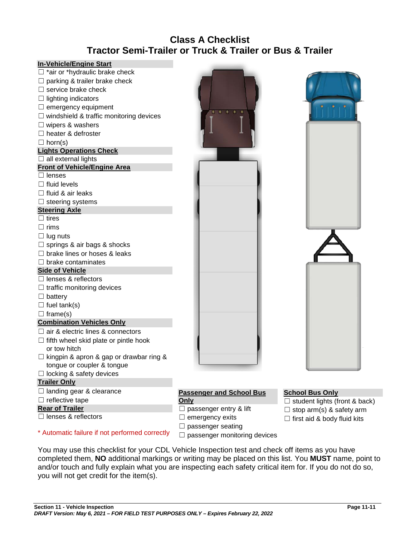# **Class A Checklist Tractor Semi-Trailer or Truck & Trailer or Bus & Trailer**

#### **In-Vehicle/Engine Start**   $\Box$  \*air or \*hydraulic brake check  $\Box$  parking & trailer brake check  $\Box$  service brake check  $\Box$  lighting indicators  $\Box$  emergency equipment  $\Box$  windshield & traffic monitoring devices  $\Box$  wipers & washers ☐ heater & defroster  $\Box$  horn(s) **Lights Operations Check**   $\Box$  all external lights **Front of Vehicle/Engine Area** ☐ lenses  $\Box$  fluid levels ☐ fluid & air leaks  $\Box$  steering systems **Steering Axle**   $\Box$  tires ☐ rims  $\Box$  lug nuts  $\Box$  springs & air bags & shocks ☐ brake lines or hoses & leaks ☐ brake contaminates **Side of Vehicle**  ☐ lenses & reflectors  $\Box$  traffic monitoring devices  $\Box$  battery  $\Box$  fuel tank(s)  $\Box$  frame(s) **Combination Vehicles Only**  □ air & electric lines & connectors  $\Box$  fifth wheel skid plate or pintle hook or tow hitch  $\Box$  kingpin & apron & gap or drawbar ring & tongue or coupler & tongue  $\Box$  locking & safety devices **Trailer Only**  □ landing gear & clearance  $\Box$  reflective tape **Rear of Trailer** ☐ lenses & reflectors **Passenger and School Bus Only**  $\Box$  passenger entry & lift  $\Box$  emergency exits ☐ passenger seating **School Bus Only**  $\Box$  student lights (front & back)  $\Box$  stop arm(s) & safety arm  $\Box$  first aid & body fluid kits

\* Automatic failure if not performed correctly

 $\Box$  passenger monitoring devices

You may use this checklist for your CDL Vehicle Inspection test and check off items as you have completed them, **NO** additional markings or writing may be placed on this list. You **MUST** name, point to and/or touch and fully explain what you are inspecting each safety critical item for. If you do not do so, you will not get credit for the item(s).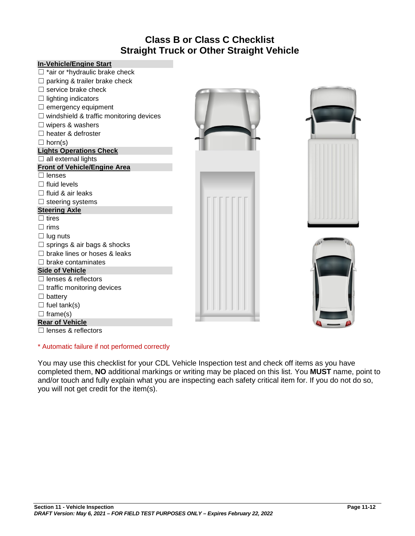# **Class B or Class C Checklist Straight Truck or Other Straight Vehicle**

| <b>III-venicle/crighte Start</b>                     |  |
|------------------------------------------------------|--|
| $\Box$ *air or *hydraulic brake check                |  |
| parking & trailer brake check                        |  |
| service brake check                                  |  |
| lighting indicators                                  |  |
| $\Box$ emergency equipment                           |  |
| windshield & traffic monitoring devices              |  |
| $\Box$ wipers & washers                              |  |
| □ heater & defroster                                 |  |
| $\Box$ horn(s)                                       |  |
| <b>Lights Operations Check</b>                       |  |
| $\Box$ all external lights                           |  |
| <b>Front of Vehicle/Engine Area</b>                  |  |
| $\Box$ lenses                                        |  |
| $\Box$ fluid levels                                  |  |
| $\Box$ fluid & air leaks                             |  |
| $\Box$ steering systems                              |  |
| <b>Steering Axle</b>                                 |  |
| $\Box$ tires                                         |  |
| rims                                                 |  |
| $\Box$ lug nuts                                      |  |
| $\Box$ springs & air bags & shocks                   |  |
| brake lines or hoses & leaks                         |  |
| brake contaminates<br>П                              |  |
| <b>Side of Vehicle</b><br>$\Box$ lenses & reflectors |  |
|                                                      |  |
| $\Box$ traffic monitoring devices                    |  |
| $\Box$ battery<br>$\Box$ fuel tank(s)                |  |
| frame(s)                                             |  |
| $\sqcup$<br><b>Rear of Vehicle</b>                   |  |
| lenses & reflectors                                  |  |
|                                                      |  |

# \* Automatic failure if not performed correctly

**In-Vehicle/Engine Start** 

You may use this checklist for your CDL Vehicle Inspection test and check off items as you have completed them, **NO** additional markings or writing may be placed on this list. You **MUST** name, point to and/or touch and fully explain what you are inspecting each safety critical item for. If you do not do so, you will not get credit for the item(s).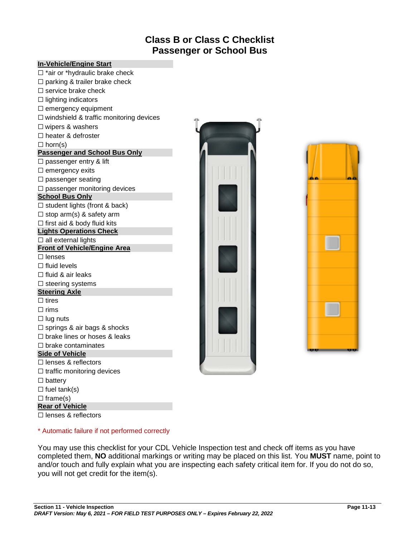# **Class B or Class C Checklist Passenger or School Bus**

| $\Box$ *air or *hydraulic brake check                                |  |
|----------------------------------------------------------------------|--|
| $\Box$ parking & trailer brake check                                 |  |
| $\square$ service brake check                                        |  |
| $\Box$ lighting indicators                                           |  |
| $\Box$ emergency equipment                                           |  |
| $\Box$ windshield & traffic monitoring devices                       |  |
| $\Box$ wipers & washers                                              |  |
| $\Box$ heater & defroster                                            |  |
| $\Box$ horn(s)                                                       |  |
| <b>Passenger and School Bus Only</b>                                 |  |
| $\Box$ passenger entry & lift                                        |  |
| $\square$ emergency exits                                            |  |
| $\Box$ passenger seating                                             |  |
| $\Box$ passenger monitoring devices                                  |  |
| <b>School Bus Only</b><br>$\Box$ student lights (front & back)       |  |
|                                                                      |  |
| $\Box$ stop arm(s) & safety arm                                      |  |
| $\Box$ first aid & body fluid kits<br><b>Lights Operations Check</b> |  |
| $\Box$ all external lights                                           |  |
| <b>Front of Vehicle/Engine Area</b>                                  |  |
| $\Box$ lenses                                                        |  |
| $\Box$ fluid levels                                                  |  |
| $\Box$ fluid & air leaks                                             |  |
| $\Box$ steering systems                                              |  |
| <b>Steering Axle</b>                                                 |  |
| $\Box$ tires                                                         |  |
| $\Box$ rims                                                          |  |
| $\Box$ lug nuts                                                      |  |
| $\Box$ springs & air bags & shocks                                   |  |
| $\Box$ brake lines or hoses & leaks                                  |  |
| $\Box$ brake contaminates                                            |  |
| <b>Side of Vehicle</b>                                               |  |
| □ lenses & reflectors                                                |  |
| $\Box$ traffic monitoring devices                                    |  |
| $\Box$ battery                                                       |  |
| $\Box$ fuel tank(s)                                                  |  |
| $\Box$ frame(s)                                                      |  |
| <b>Rear of Vehicle</b>                                               |  |
| $\Box$ lenses & reflectors                                           |  |
|                                                                      |  |

\* Automatic failure if not performed correctly

**In-Vehicle/Engine Start** 

You may use this checklist for your CDL Vehicle Inspection test and check off items as you have completed them, **NO** additional markings or writing may be placed on this list. You **MUST** name, point to and/or touch and fully explain what you are inspecting each safety critical item for. If you do not do so, you will not get credit for the item(s).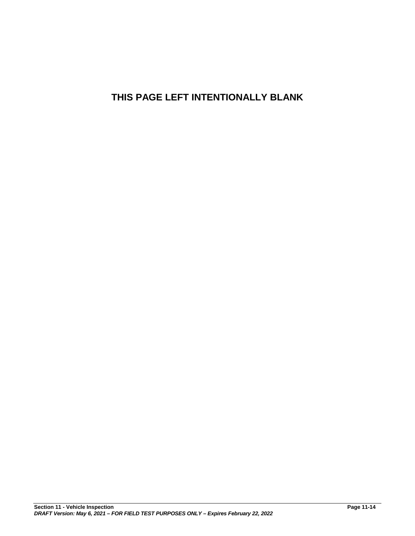# **THIS PAGE LEFT INTENTIONALLY BLANK**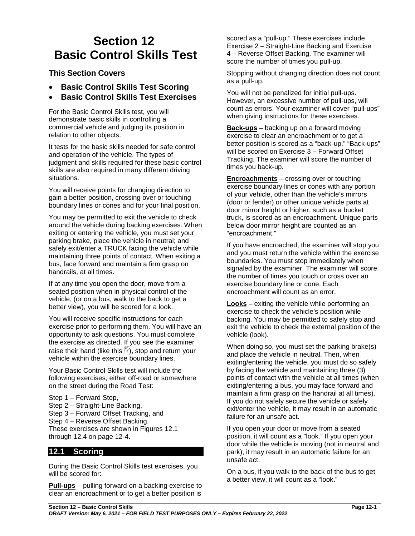# <span id="page-17-0"></span>**Section 12 Basic Control Skills Test**

**This Section Covers**

- **Basic Control Skills Test Scoring**
- **Basic Control Skills Test Exercises**

For the Basic Control Skills test, you will demonstrate basic skills in controlling a commercial vehicle and judging its position in relation to other objects.

It tests for the basic skills needed for safe control and operation of the vehicle. The types of judgment and skills required for these basic control skills are also required in many different driving situations.

You will receive points for changing direction to gain a better position, crossing over or touching boundary lines or cones and for your final position.

You may be permitted to exit the vehicle to check around the vehicle during backing exercises. When exiting or entering the vehicle, you must set your parking brake, place the vehicle in neutral; and safely exit/enter a TRUCK facing the vehicle while maintaining three points of contact. When exiting a bus, face forward and maintain a firm grasp on handrails, at all times.

If at any time you open the door, move from a seated position when in physical control of the vehicle, (or on a bus, walk to the back to get a better view), you will be scored for a look.

You will receive specific instructions for each exercise prior to performing them. You will have an opportunity to ask questions. You must complete the exercise as directed. If you see the examiner raise their hand (like this  $\sqrt[m]{\ }$ ), stop and return your vehicle within the exercise boundary lines.

Your Basic Control Skills test will include the following exercises, either off-road or somewhere on the street during the Road Test:

- Step 1 Forward Stop,
- Step 2 Straight-Line Backing,
- Step 3 Forward Offset Tracking, and
- Step 4 Reverse Offset Backing.

These exercises are shown in Figures 12.1 through 12.4 on page 12-4.

# **12.1 Scoring**

During the Basic Control Skills test exercises, you will be scored for:

**Pull-ups** – pulling forward on a backing exercise to clear an encroachment or to get a better position is

scored as a "pull-up." These exercises include Exercise 2 – Straight-Line Backing and Exercise 4 – Reverse Offset Backing. The examiner will score the number of times you pull-up.

Stopping without changing direction does not count as a pull-up.

You will not be penalized for initial pull-ups. However, an excessive number of pull-ups, will count as errors. Your examiner will cover "pull-ups" when giving instructions for these exercises.

**Back-ups** – backing up on a forward moving exercise to clear an encroachment or to get a better position is scored as a "back-up." "Back-ups" will be scored on Exercise 3 – Forward Offset Tracking. The examiner will score the number of times you back-up.

**Encroachments** – crossing over or touching exercise boundary lines or cones with any portion of your vehicle, other than the vehicle's mirrors (door or fender) or other unique vehicle parts at door mirror height or higher, such as a bucket truck, is scored as an encroachment. Unique parts below door mirror height are counted as an "encroachment."

If you have encroached, the examiner will stop you and you must return the vehicle within the exercise boundaries. You must stop immediately when signaled by the examiner. The examiner will score the number of times you touch or cross over an exercise boundary line or cone. Each encroachment will count as an error.

**Looks** – exiting the vehicle while performing an exercise to check the vehicle's position while backing. You may be permitted to safely stop and exit the vehicle to check the external position of the vehicle (look).

When doing so, you must set the parking brake(s) and place the vehicle in neutral. Then, when exiting/entering the vehicle, you must do so safely by facing the vehicle and maintaining three (3) points of contact with the vehicle at all times (when exiting/entering a bus, you may face forward and maintain a firm grasp on the handrail at all times). If you do not safely secure the vehicle or safely exit/enter the vehicle, it may result in an automatic failure for an unsafe act.

If you open your door or move from a seated position, it will count as a "look." If you open your door while the vehicle is moving (not in neutral and park), it may result in an automatic failure for an unsafe act.

On a bus, if you walk to the back of the bus to get a better view, it will count as a "look."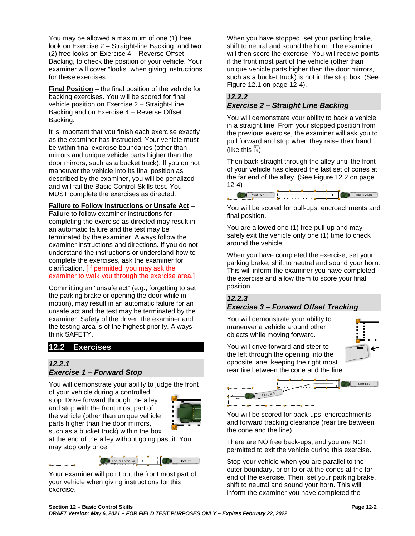You may be allowed a maximum of one (1) free look on Exercise 2 – Straight-line Backing, and two (2) free looks on Exercise 4 – Reverse Offset Backing, to check the position of your vehicle. Your examiner will cover "looks" when giving instructions for these exercises.

**Final Position** – the final position of the vehicle for backing exercises. You will be scored for final vehicle position on Exercise 2 – Straight-Line Backing and on Exercise 4 – Reverse Offset Backing.

It is important that you finish each exercise exactly as the examiner has instructed. Your vehicle must be within final exercise boundaries (other than mirrors and unique vehicle parts higher than the door mirrors, such as a bucket truck). If you do not maneuver the vehicle into its final position as described by the examiner, you will be penalized and will fail the Basic Control Skills test. You MUST complete the exercises as directed.

#### **Failure to Follow Instructions or Unsafe Act** –

Failure to follow examiner instructions for completing the exercise as directed may result in an automatic failure and the test may be terminated by the examiner. Always follow the examiner instructions and directions. If you do not understand the instructions or understand how to complete the exercises, ask the examiner for clarification. [If permitted, you may ask the examiner to walk you through the exercise area.]

Committing an "unsafe act" (e.g., forgetting to set the parking brake or opening the door while in motion), may result in an automatic failure for an unsafe act and the test may be terminated by the examiner. Safety of the driver, the examiner and the testing area is of the highest priority. Always think SAFETY.

# **12.2 Exercises**

# *12.2.1 Exercise 1 – Forward Stop*

You will demonstrate your ability to judge the front

of your vehicle during a controlled stop. Drive forward through the alley and stop with the front most part of the vehicle (other than unique vehicle parts higher than the door mirrors, such as a bucket truck) within the box



at the end of the alley without going past it. You may stop only once.



Your examiner will point out the front most part of your vehicle when giving instructions for this exercise.

When you have stopped, set your parking brake, shift to neural and sound the horn. The examiner will then score the exercise. You will receive points if the front most part of the vehicle (other than unique vehicle parts higher than the door mirrors, such as a bucket truck) is not in the stop box. (See Figure 12.1 on page 12-4).

# *12.2.2*

# *Exercise 2 – Straight Line Backing*

You will demonstrate your ability to back a vehicle in a straight line. From your stopped position from the previous exercise, the examiner will ask you to pull forward and stop when they raise their hand (like this  $\mathbb{R}$ ).

Then back straight through the alley until the front of your vehicle has cleared the last set of cones at the far end of the alley. (See Figure 12.2 on page 12-4)



You will be scored for pull-ups, encroachments and final position.

You are allowed one (1) free pull-up and may safely exit the vehicle only one (1) time to check around the vehicle.

When you have completed the exercise, set your parking brake, shift to neutral and sound your horn. This will inform the examiner you have completed the exercise and allow them to score your final position.

# *12.2.3 Exercise 3 – Forward Offset Tracking*

You will demonstrate your ability to maneuver a vehicle around other objects while moving forward.



You will drive forward and steer to the left through the opening into the opposite lane, keeping the right most rear tire between the cone and the line.



You will be scored for back-ups, encroachments and forward tracking clearance (rear tire between the cone and the line).

There are NO free back-ups, and you are NOT permitted to exit the vehicle during this exercise.

Stop your vehicle when you are parallel to the outer boundary, prior to or at the cones at the far end of the exercise. Then, set your parking brake, shift to neutral and sound your horn. This will inform the examiner you have completed the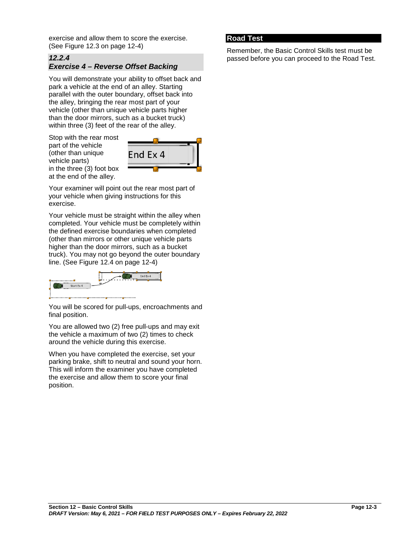exercise and allow them to score the exercise. (See Figure 12.3 on page 12-4)

# *12.2.4 Exercise 4 – Reverse Offset Backing*

You will demonstrate your ability to offset back and park a vehicle at the end of an alley. Starting parallel with the outer boundary, offset back into the alley, bringing the rear most part of your vehicle (other than unique vehicle parts higher than the door mirrors, such as a bucket truck) within three (3) feet of the rear of the alley.

Stop with the rear most part of the vehicle (other than unique vehicle parts) in the three (3) foot box at the end of the alley.



Your examiner will point out the rear most part of your vehicle when giving instructions for this exercise.

Your vehicle must be straight within the alley when completed. Your vehicle must be completely within the defined exercise boundaries when completed (other than mirrors or other unique vehicle parts higher than the door mirrors, such as a bucket truck). You may not go beyond the outer boundary line. (See Figure 12.4 on page 12-4)



You will be scored for pull-ups, encroachments and final position.

You are allowed two (2) free pull-ups and may exit the vehicle a maximum of two (2) times to check around the vehicle during this exercise.

When you have completed the exercise, set your parking brake, shift to neutral and sound your horn. This will inform the examiner you have completed the exercise and allow them to score your final position.

# **Road Test**

Remember, the Basic Control Skills test must be passed before you can proceed to the Road Test.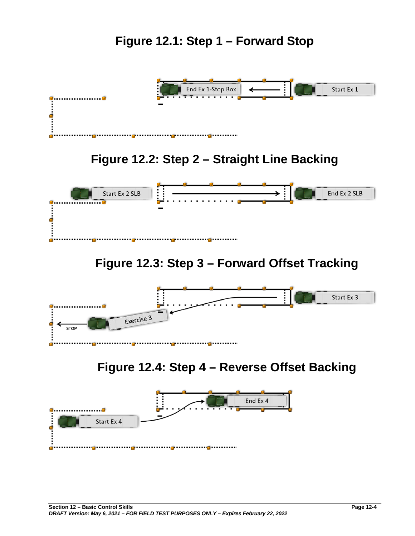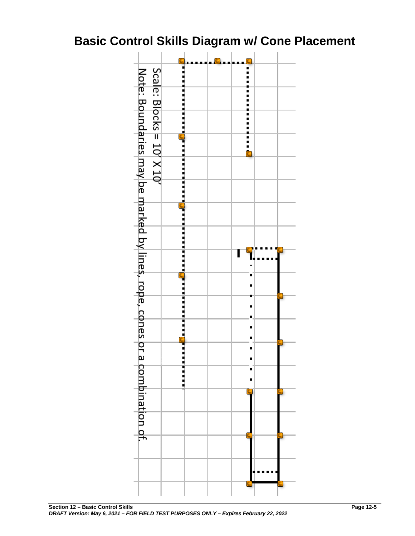**Basic Control Skills Diagram w/ Cone Placement**

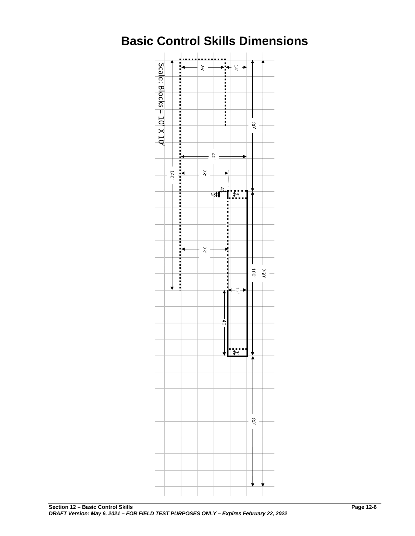# ٠ Scale: Blocks =  $10'$  X  $10'$ 56  $\overrightarrow{A}$ ř İ İ i  $\otimes$ į  $40^{\circ}$  $\mathbf{I}$  $140'$  $28\,$ ĵ  $\frac{1}{\sqrt{1+\frac{1}{2}}}$ ไ∐้\*่:. į  $\ddot{\phantom{a}}$  $28^{\circ}$ H  $100$ 260 j į ્∙  $\odot$